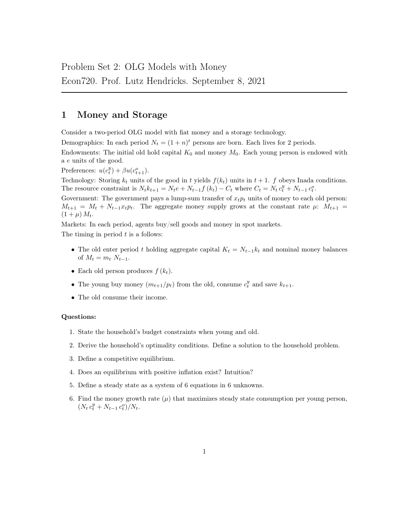## 1 Money and Storage

Consider a two-period OLG model with fiat money and a storage technology.

Demographics: In each period  $N_t = (1 + n)^t$  persons are born. Each lives for 2 periods.

Endowments: The initial old hold capital  $K_0$  and money  $M_0$ . Each young person is endowed with a e units of the good.

Preferences:  $u(c_t^y) + \beta u(c_{t+1}^o)$ .

Technology: Storing  $k_t$  units of the good in t yields  $f(k_t)$  units in  $t + 1$ . f obeys Inada conditions. The resource constraint is  $N_t k_{t+1} = N_t e + N_{t-1} f(k_t) - C_t$  where  $C_t = N_t c_t^y + N_{t-1} c_t^o$ .

Government: The government pays a lump-sum transfer of  $x_t p_t$  units of money to each old person:  $M_{t+1} = M_t + N_{t-1}x_t p_t$ . The aggregate money supply grows at the constant rate  $\mu$ :  $M_{t+1}$  $(1 + \mu) M_t$ .

Markets: In each period, agents buy/sell goods and money in spot markets.

The timing in period  $t$  is a follows:

- The old enter period t holding aggregate capital  $K_t = N_{t-1}k_t$  and nominal money balances of  $M_t = m_t N_{t-1}$ .
- Each old person produces  $f(k_t)$ .
- The young buy money  $(m_{t+1}/p_t)$  from the old, consume  $c_t^y$  and save  $k_{t+1}$ .
- The old consume their income.

## Questions:

- 1. State the household's budget constraints when young and old.
- 2. Derive the household's optimality conditions. Define a solution to the household problem.
- 3. Define a competitive equilibrium.
- 4. Does an equilibrium with positive inflation exist? Intuition?
- 5. Define a steady state as a system of 6 equations in 6 unknowns.
- 6. Find the money growth rate  $(\mu)$  that maximizes steady state consumption per young person,  $(N_t c_t^y + N_{t-1} c_t^o)/N_t.$